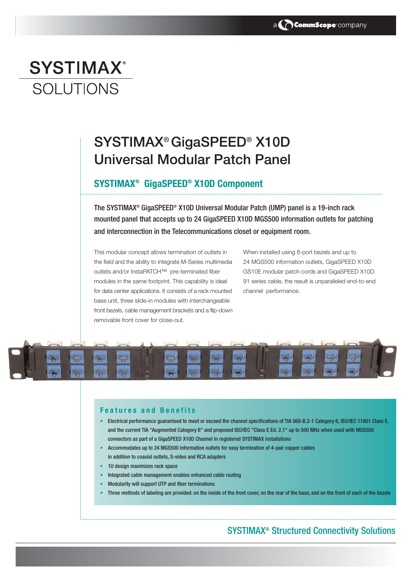# **SYSTIMAX® SOLUTIONS**

## SYSTIMAX® GigaSPEED® X10D Universal Modular Patch Panel

#### **SYSTIMAX® GigaSPEED® X10D Component**

The SYSTIMAX® GigaSPEED® X10D Universal Modular Patch (UMP) panel is a 19-inch rack mounted panel that accepts up to 24 GigaSPEED X10D MGS500 information outlets for patching and interconnection in the Telecommunications closet or equipment room.

This modular concept allows termination of outlets in the field and the ability to integrate M-Series multimedia outlets and/or InstaPATCH™ pre-terminated fiber modules in the same footprint. This capability is ideal for data center applications. It consists of a rack mounted base unit, three slide-in modules with interchangeable front bezels, cable management brackets and a flip-down removable front cover for close-out.

When installed using 8-port bezels and up to 24 MGS500 information outlets, GigaSPEED X10D GS10E modular patch cords and GigaSPEED X10D 91 series cable, the result is unparalleled end-to-end channel performance.



#### **Features and Benefits**

- Electrical performance guaranteed to meet or exceed the channel specifications of TIA 568-B.2-1 Category 6, ISO/IEC 11801 Class E, and the current TIA "Augmented Category 6" and proposed ISO/IEC "Class E Ed. 2.1" up to 500 MHz when used with MGS500 connectors as part of a GigaSPEED X10D Channel in registered SYSTIMAX installations
- Accommodates up to 24 MGS500 information outlets for easy termination of 4-pair copper cables in addition to coaxial outlets, S-video and RCA adapters
- 1U design maximizes rack space
- Integrated cable management enables enhanced cable routing
- Modularity will support UTP and fiber terminations
- Three methods of labeling are provided: on the inside of the front cover, on the rear of the base, and on the front of each of the bezels

### SYSTIMAX® Structured Connectivity Solutions